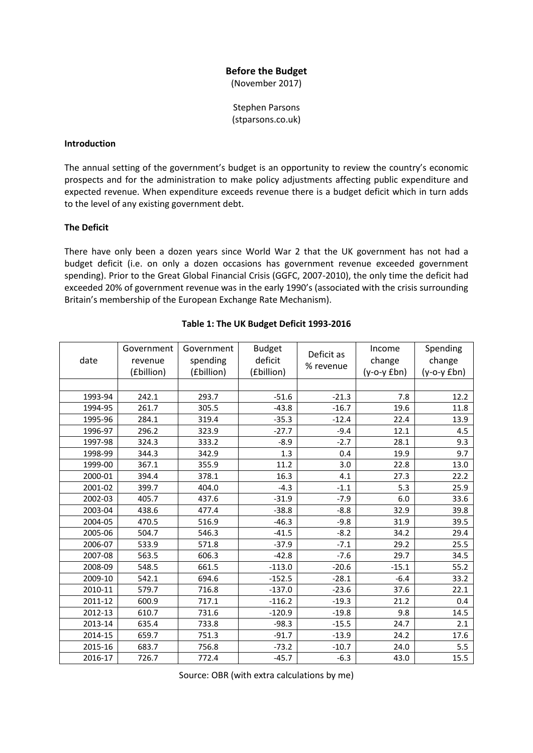# **Before the Budget**

(November 2017)

Stephen Parsons (stparsons.co.uk)

#### **Introduction**

The annual setting of the government's budget is an opportunity to review the country's economic prospects and for the administration to make policy adjustments affecting public expenditure and expected revenue. When expenditure exceeds revenue there is a budget deficit which in turn adds to the level of any existing government debt.

## **The Deficit**

There have only been a dozen years since World War 2 that the UK government has not had a budget deficit (i.e. on only a dozen occasions has government revenue exceeded government spending). Prior to the Great Global Financial Crisis (GGFC, 2007-2010), the only time the deficit had exceeded 20% of government revenue was in the early 1990's (associated with the crisis surrounding Britain's membership of the European Exchange Rate Mechanism).

| date    | Government<br>revenue<br>(£billion) | Government<br>spending<br>(£billion) | <b>Budget</b><br>deficit<br>(£billion) | Deficit as<br>% revenue | Income<br>change<br>$(y-o-y fbn)$ | Spending<br>change<br>$(y-o-y fbn)$ |
|---------|-------------------------------------|--------------------------------------|----------------------------------------|-------------------------|-----------------------------------|-------------------------------------|
|         |                                     |                                      |                                        |                         |                                   |                                     |
| 1993-94 | 242.1                               | 293.7                                | $-51.6$                                | $-21.3$                 | 7.8                               | 12.2                                |
| 1994-95 | 261.7                               | 305.5                                | $-43.8$                                | $-16.7$                 | 19.6                              | 11.8                                |
| 1995-96 | 284.1                               | 319.4                                | $-35.3$                                | $-12.4$                 | 22.4                              | 13.9                                |
| 1996-97 | 296.2                               | 323.9                                | $-27.7$                                | $-9.4$                  | 12.1                              | 4.5                                 |
| 1997-98 | 324.3                               | 333.2                                | $-8.9$                                 | $-2.7$                  | 28.1                              | 9.3                                 |
| 1998-99 | 344.3                               | 342.9                                | 1.3                                    | 0.4                     | 19.9                              | 9.7                                 |
| 1999-00 | 367.1                               | 355.9                                | 11.2                                   | 3.0                     | 22.8                              | 13.0                                |
| 2000-01 | 394.4                               | 378.1                                | 16.3                                   | 4.1                     | 27.3                              | 22.2                                |
| 2001-02 | 399.7                               | 404.0                                | $-4.3$                                 | $-1.1$                  | 5.3                               | 25.9                                |
| 2002-03 | 405.7                               | 437.6                                | $-31.9$                                | $-7.9$                  | 6.0                               | 33.6                                |
| 2003-04 | 438.6                               | 477.4                                | $-38.8$                                | $-8.8$                  | 32.9                              | 39.8                                |
| 2004-05 | 470.5                               | 516.9                                | $-46.3$                                | $-9.8$                  | 31.9                              | 39.5                                |
| 2005-06 | 504.7                               | 546.3                                | $-41.5$                                | $-8.2$                  | 34.2                              | 29.4                                |
| 2006-07 | 533.9                               | 571.8                                | $-37.9$                                | $-7.1$                  | 29.2                              | 25.5                                |
| 2007-08 | 563.5                               | 606.3                                | $-42.8$                                | $-7.6$                  | 29.7                              | 34.5                                |
| 2008-09 | 548.5                               | 661.5                                | $-113.0$                               | $-20.6$                 | $-15.1$                           | 55.2                                |
| 2009-10 | 542.1                               | 694.6                                | $-152.5$                               | $-28.1$                 | $-6.4$                            | 33.2                                |
| 2010-11 | 579.7                               | 716.8                                | $-137.0$                               | $-23.6$                 | 37.6                              | 22.1                                |
| 2011-12 | 600.9                               | 717.1                                | $-116.2$                               | $-19.3$                 | 21.2                              | 0.4                                 |
| 2012-13 | 610.7                               | 731.6                                | $-120.9$                               | $-19.8$                 | 9.8                               | 14.5                                |
| 2013-14 | 635.4                               | 733.8                                | $-98.3$                                | $-15.5$                 | 24.7                              | 2.1                                 |
| 2014-15 | 659.7                               | 751.3                                | $-91.7$                                | $-13.9$                 | 24.2                              | 17.6                                |
| 2015-16 | 683.7                               | 756.8                                | $-73.2$                                | $-10.7$                 | 24.0                              | 5.5                                 |
| 2016-17 | 726.7                               | 772.4                                | $-45.7$                                | $-6.3$                  | 43.0                              | 15.5                                |

#### **Table 1: The UK Budget Deficit 1993-2016**

Source: OBR (with extra calculations by me)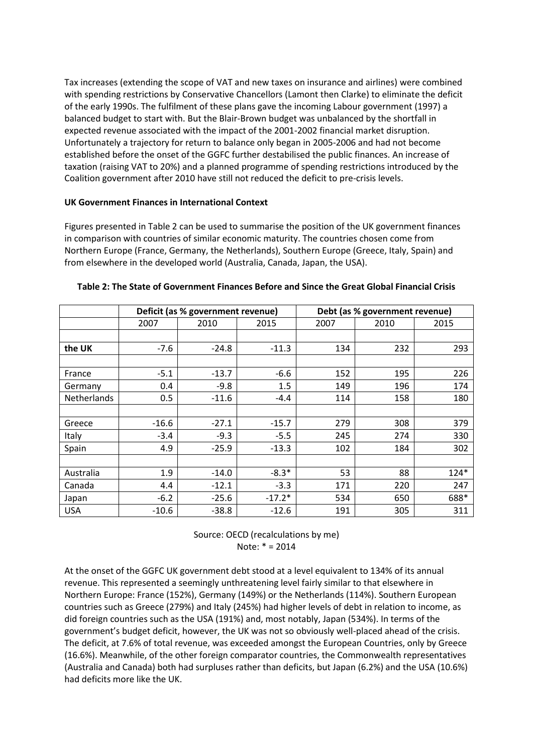Tax increases (extending the scope of VAT and new taxes on insurance and airlines) were combined with spending restrictions by Conservative Chancellors (Lamont then Clarke) to eliminate the deficit of the early 1990s. The fulfilment of these plans gave the incoming Labour government (1997) a balanced budget to start with. But the Blair-Brown budget was unbalanced by the shortfall in expected revenue associated with the impact of the 2001-2002 financial market disruption. Unfortunately a trajectory for return to balance only began in 2005-2006 and had not become established before the onset of the GGFC further destabilised the public finances. An increase of taxation (raising VAT to 20%) and a planned programme of spending restrictions introduced by the Coalition government after 2010 have still not reduced the deficit to pre-crisis levels.

## **UK Government Finances in International Context**

Figures presented in Table 2 can be used to summarise the position of the UK government finances in comparison with countries of similar economic maturity. The countries chosen come from Northern Europe (France, Germany, the Netherlands), Southern Europe (Greece, Italy, Spain) and from elsewhere in the developed world (Australia, Canada, Japan, the USA).

|             |         | Deficit (as % government revenue) |          | Debt (as % government revenue) |      |        |
|-------------|---------|-----------------------------------|----------|--------------------------------|------|--------|
|             | 2007    | 2010                              | 2015     | 2007                           | 2010 | 2015   |
|             |         |                                   |          |                                |      |        |
| the UK      | $-7.6$  | $-24.8$                           | $-11.3$  | 134                            | 232  | 293    |
|             |         |                                   |          |                                |      |        |
| France      | $-5.1$  | $-13.7$                           | $-6.6$   | 152                            | 195  | 226    |
| Germany     | 0.4     | $-9.8$                            | 1.5      | 149                            | 196  | 174    |
| Netherlands | 0.5     | $-11.6$                           | $-4.4$   | 114                            | 158  | 180    |
|             |         |                                   |          |                                |      |        |
| Greece      | $-16.6$ | $-27.1$                           | $-15.7$  | 279                            | 308  | 379    |
| Italy       | $-3.4$  | $-9.3$                            | $-5.5$   | 245                            | 274  | 330    |
| Spain       | 4.9     | $-25.9$                           | $-13.3$  | 102                            | 184  | 302    |
|             |         |                                   |          |                                |      |        |
| Australia   | 1.9     | $-14.0$                           | $-8.3*$  | 53                             | 88   | $124*$ |
| Canada      | 4.4     | $-12.1$                           | $-3.3$   | 171                            | 220  | 247    |
| Japan       | $-6.2$  | $-25.6$                           | $-17.2*$ | 534                            | 650  | 688*   |
| <b>USA</b>  | $-10.6$ | $-38.8$                           | $-12.6$  | 191                            | 305  | 311    |

Source: OECD (recalculations by me) Note: \* = 2014

At the onset of the GGFC UK government debt stood at a level equivalent to 134% of its annual revenue. This represented a seemingly unthreatening level fairly similar to that elsewhere in Northern Europe: France (152%), Germany (149%) or the Netherlands (114%). Southern European countries such as Greece (279%) and Italy (245%) had higher levels of debt in relation to income, as did foreign countries such as the USA (191%) and, most notably, Japan (534%). In terms of the government's budget deficit, however, the UK was not so obviously well-placed ahead of the crisis. The deficit, at 7.6% of total revenue, was exceeded amongst the European Countries, only by Greece (16.6%). Meanwhile, of the other foreign comparator countries, the Commonwealth representatives (Australia and Canada) both had surpluses rather than deficits, but Japan (6.2%) and the USA (10.6%) had deficits more like the UK.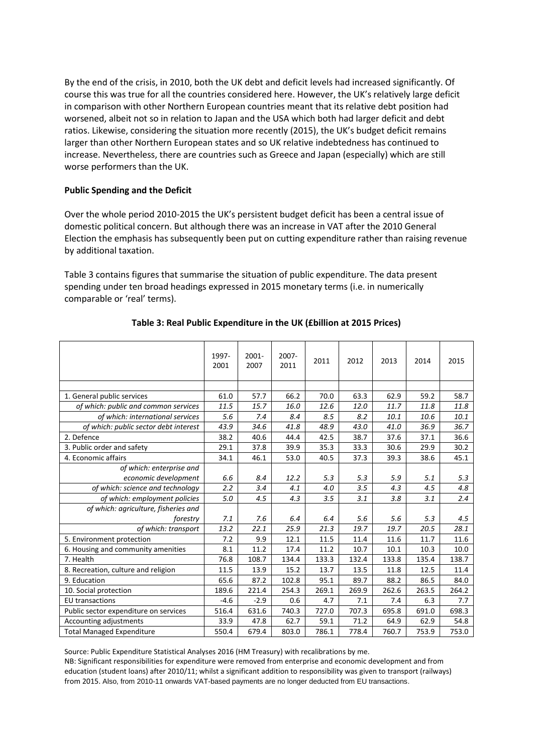By the end of the crisis, in 2010, both the UK debt and deficit levels had increased significantly. Of course this was true for all the countries considered here. However, the UK's relatively large deficit in comparison with other Northern European countries meant that its relative debt position had worsened, albeit not so in relation to Japan and the USA which both had larger deficit and debt ratios. Likewise, considering the situation more recently (2015), the UK's budget deficit remains larger than other Northern European states and so UK relative indebtedness has continued to increase. Nevertheless, there are countries such as Greece and Japan (especially) which are still worse performers than the UK.

## **Public Spending and the Deficit**

Over the whole period 2010-2015 the UK's persistent budget deficit has been a central issue of domestic political concern. But although there was an increase in VAT after the 2010 General Election the emphasis has subsequently been put on cutting expenditure rather than raising revenue by additional taxation.

Table 3 contains figures that summarise the situation of public expenditure. The data present spending under ten broad headings expressed in 2015 monetary terms (i.e. in numerically comparable or 'real' terms).

|                                       | 1997-<br>2001 | $2001 -$<br>2007 | $2007 -$<br>2011 | 2011  | 2012  | 2013  | 2014  | 2015  |
|---------------------------------------|---------------|------------------|------------------|-------|-------|-------|-------|-------|
|                                       |               |                  |                  |       |       |       |       |       |
| 1. General public services            | 61.0          | 57.7             | 66.2             | 70.0  | 63.3  | 62.9  | 59.2  | 58.7  |
| of which: public and common services  | 11.5          | 15.7             | 16.0             | 12.6  | 12.0  | 11.7  | 11.8  | 11.8  |
| of which: international services      | 5.6           | 7.4              | 8.4              | 8.5   | 8.2   | 10.1  | 10.6  | 10.1  |
| of which: public sector debt interest | 43.9          | 34.6             | 41.8             | 48.9  | 43.0  | 41.0  | 36.9  | 36.7  |
| 2. Defence                            | 38.2          | 40.6             | 44.4             | 42.5  | 38.7  | 37.6  | 37.1  | 36.6  |
| 3. Public order and safety            | 29.1          | 37.8             | 39.9             | 35.3  | 33.3  | 30.6  | 29.9  | 30.2  |
| 4. Economic affairs                   | 34.1          | 46.1             | 53.0             | 40.5  | 37.3  | 39.3  | 38.6  | 45.1  |
| of which: enterprise and              |               |                  |                  |       |       |       |       |       |
| economic development                  | 6.6           | 8.4              | 12.2             | 5.3   | 5.3   | 5.9   | 5.1   | 5.3   |
| of which: science and technology      | 2.2           | 3.4              | 4.1              | 4.0   | 3.5   | 4.3   | 4.5   | 4.8   |
| of which: employment policies         | 5.0           | 4.5              | 4.3              | 3.5   | 3.1   | 3.8   | 3.1   | 2.4   |
| of which: agriculture, fisheries and  |               |                  |                  |       |       |       |       |       |
| forestry                              | 7.1           | 7.6              | 6.4              | 6.4   | 5.6   | 5.6   | 5.3   | 4.5   |
| of which: transport                   | 13.2          | 22.1             | 25.9             | 21.3  | 19.7  | 19.7  | 20.5  | 28.1  |
| 5. Environment protection             | 7.2           | 9.9              | 12.1             | 11.5  | 11.4  | 11.6  | 11.7  | 11.6  |
| 6. Housing and community amenities    | 8.1           | 11.2             | 17.4             | 11.2  | 10.7  | 10.1  | 10.3  | 10.0  |
| 7. Health                             | 76.8          | 108.7            | 134.4            | 133.3 | 132.4 | 133.8 | 135.4 | 138.7 |
| 8. Recreation, culture and religion   | 11.5          | 13.9             | 15.2             | 13.7  | 13.5  | 11.8  | 12.5  | 11.4  |
| 9. Education                          | 65.6          | 87.2             | 102.8            | 95.1  | 89.7  | 88.2  | 86.5  | 84.0  |
| 10. Social protection                 | 189.6         | 221.4            | 254.3            | 269.1 | 269.9 | 262.6 | 263.5 | 264.2 |
| <b>EU</b> transactions                | $-4.6$        | $-2.9$           | 0.6              | 4.7   | 7.1   | 7.4   | 6.3   | 7.7   |
| Public sector expenditure on services | 516.4         | 631.6            | 740.3            | 727.0 | 707.3 | 695.8 | 691.0 | 698.3 |
| Accounting adjustments                | 33.9          | 47.8             | 62.7             | 59.1  | 71.2  | 64.9  | 62.9  | 54.8  |
| <b>Total Managed Expenditure</b>      | 550.4         | 679.4            | 803.0            | 786.1 | 778.4 | 760.7 | 753.9 | 753.0 |

## **Table 3: Real Public Expenditure in the UK (£billion at 2015 Prices)**

Source: Public Expenditure Statistical Analyses 2016 (HM Treasury) with recalibrations by me.

NB: Significant responsibilities for expenditure were removed from enterprise and economic development and from education (student loans) after 2010/11; whilst a significant addition to responsibility was given to transport (railways) from 2015. Also, from 2010-11 onwards VAT-based payments are no longer deducted from EU transactions.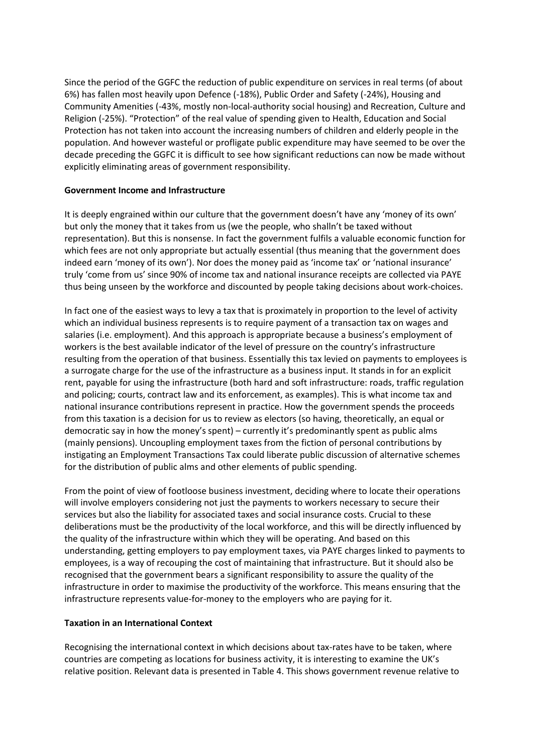Since the period of the GGFC the reduction of public expenditure on services in real terms (of about 6%) has fallen most heavily upon Defence (-18%), Public Order and Safety (-24%), Housing and Community Amenities (-43%, mostly non-local-authority social housing) and Recreation, Culture and Religion (-25%). "Protection" of the real value of spending given to Health, Education and Social Protection has not taken into account the increasing numbers of children and elderly people in the population. And however wasteful or profligate public expenditure may have seemed to be over the decade preceding the GGFC it is difficult to see how significant reductions can now be made without explicitly eliminating areas of government responsibility.

## **Government Income and Infrastructure**

It is deeply engrained within our culture that the government doesn't have any 'money of its own' but only the money that it takes from us (we the people, who shalln't be taxed without representation). But this is nonsense. In fact the government fulfils a valuable economic function for which fees are not only appropriate but actually essential (thus meaning that the government does indeed earn 'money of its own'). Nor does the money paid as 'income tax' or 'national insurance' truly 'come from us' since 90% of income tax and national insurance receipts are collected via PAYE thus being unseen by the workforce and discounted by people taking decisions about work-choices.

In fact one of the easiest ways to levy a tax that is proximately in proportion to the level of activity which an individual business represents is to require payment of a transaction tax on wages and salaries (i.e. employment). And this approach is appropriate because a business's employment of workers is the best available indicator of the level of pressure on the country's infrastructure resulting from the operation of that business. Essentially this tax levied on payments to employees is a surrogate charge for the use of the infrastructure as a business input. It stands in for an explicit rent, payable for using the infrastructure (both hard and soft infrastructure: roads, traffic regulation and policing; courts, contract law and its enforcement, as examples). This is what income tax and national insurance contributions represent in practice. How the government spends the proceeds from this taxation is a decision for us to review as electors (so having, theoretically, an equal or democratic say in how the money's spent) – currently it's predominantly spent as public alms (mainly pensions). Uncoupling employment taxes from the fiction of personal contributions by instigating an Employment Transactions Tax could liberate public discussion of alternative schemes for the distribution of public alms and other elements of public spending.

From the point of view of footloose business investment, deciding where to locate their operations will involve employers considering not just the payments to workers necessary to secure their services but also the liability for associated taxes and social insurance costs. Crucial to these deliberations must be the productivity of the local workforce, and this will be directly influenced by the quality of the infrastructure within which they will be operating. And based on this understanding, getting employers to pay employment taxes, via PAYE charges linked to payments to employees, is a way of recouping the cost of maintaining that infrastructure. But it should also be recognised that the government bears a significant responsibility to assure the quality of the infrastructure in order to maximise the productivity of the workforce. This means ensuring that the infrastructure represents value-for-money to the employers who are paying for it.

## **Taxation in an International Context**

Recognising the international context in which decisions about tax-rates have to be taken, where countries are competing as locations for business activity, it is interesting to examine the UK's relative position. Relevant data is presented in Table 4. This shows government revenue relative to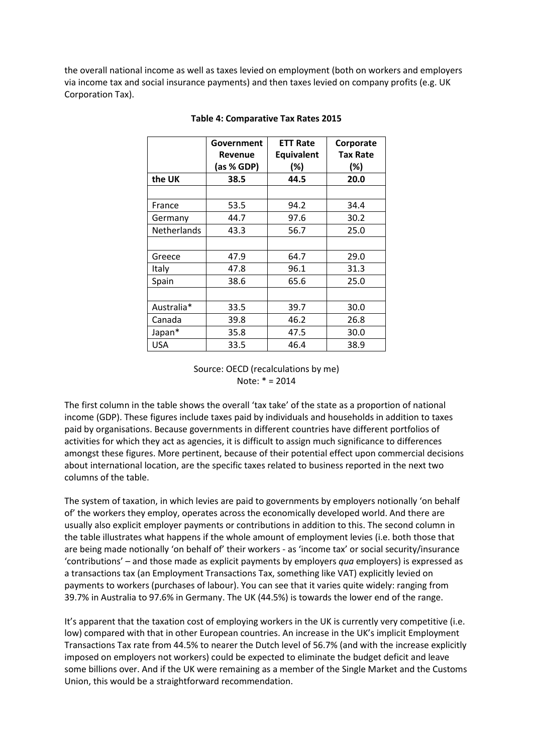the overall national income as well as taxes levied on employment (both on workers and employers via income tax and social insurance payments) and then taxes levied on company profits (e.g. UK Corporation Tax).

|             | Government<br>Revenue<br>(as % GDP) | <b>ETT Rate</b><br>Equivalent<br>$(\%)$ | Corporate<br><b>Tax Rate</b><br>$(\%)$ |
|-------------|-------------------------------------|-----------------------------------------|----------------------------------------|
| the UK      | 38.5                                | 44.5                                    | 20.0                                   |
|             |                                     |                                         |                                        |
| France      | 53.5                                | 94.2                                    | 34.4                                   |
| Germany     | 44.7                                | 97.6                                    | 30.2                                   |
| Netherlands | 43.3                                | 56.7                                    | 25.0                                   |
|             |                                     |                                         |                                        |
| Greece      | 47.9                                | 64.7                                    | 29.0                                   |
| Italy       | 47.8                                | 96.1                                    | 31.3                                   |
| Spain       | 38.6                                | 65.6                                    | 25.0                                   |
|             |                                     |                                         |                                        |
| Australia*  | 33.5                                | 39.7                                    | 30.0                                   |
| Canada      | 39.8                                | 46.2                                    | 26.8                                   |
| Japan*      | 35.8                                | 47.5                                    | 30.0                                   |
| <b>USA</b>  | 33.5                                | 46.4                                    | 38.9                                   |

#### **Table 4: Comparative Tax Rates 2015**

Source: OECD (recalculations by me) Note: \* = 2014

The first column in the table shows the overall 'tax take' of the state as a proportion of national income (GDP). These figures include taxes paid by individuals and households in addition to taxes paid by organisations. Because governments in different countries have different portfolios of activities for which they act as agencies, it is difficult to assign much significance to differences amongst these figures. More pertinent, because of their potential effect upon commercial decisions about international location, are the specific taxes related to business reported in the next two columns of the table.

The system of taxation, in which levies are paid to governments by employers notionally 'on behalf of' the workers they employ, operates across the economically developed world. And there are usually also explicit employer payments or contributions in addition to this. The second column in the table illustrates what happens if the whole amount of employment levies (i.e. both those that are being made notionally 'on behalf of' their workers - as 'income tax' or social security/insurance 'contributions' – and those made as explicit payments by employers *qua* employers) is expressed as a transactions tax (an Employment Transactions Tax, something like VAT) explicitly levied on payments to workers (purchases of labour). You can see that it varies quite widely: ranging from 39.7% in Australia to 97.6% in Germany. The UK (44.5%) is towards the lower end of the range.

It's apparent that the taxation cost of employing workers in the UK is currently very competitive (i.e. low) compared with that in other European countries. An increase in the UK's implicit Employment Transactions Tax rate from 44.5% to nearer the Dutch level of 56.7% (and with the increase explicitly imposed on employers not workers) could be expected to eliminate the budget deficit and leave some billions over. And if the UK were remaining as a member of the Single Market and the Customs Union, this would be a straightforward recommendation.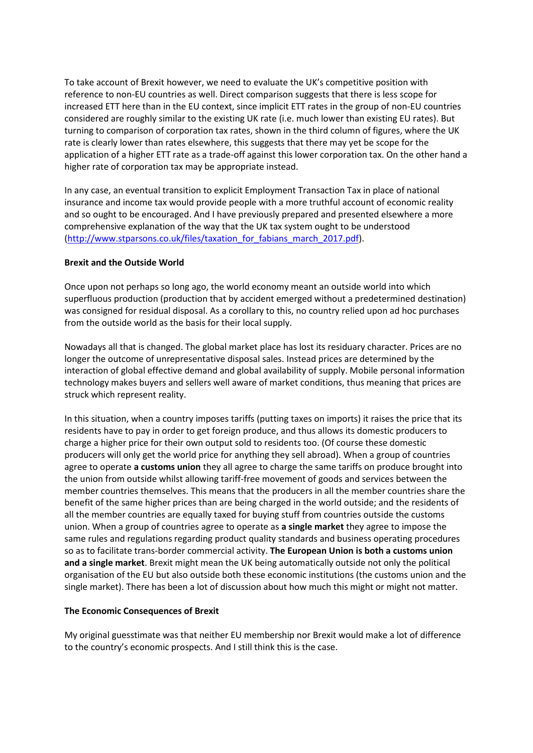To take account of Brexit however, we need to evaluate the UK's competitive position with reference to non-EU countries as well. Direct comparison suggests that there is less scope for increased ETT here than in the EU context, since implicit ETT rates in the group of non-EU countries considered are roughly similar to the existing UK rate (i.e. much lower than existing EU rates). But turning to comparison of corporation tax rates, shown in the third column of figures, where the UK rate is clearly lower than rates elsewhere, this suggests that there may yet be scope for the application of a higher ETT rate as a trade-off against this lower corporation tax. On the other hand a higher rate of corporation tax may be appropriate instead.

In any case, an eventual transition to explicit Employment Transaction Tax in place of national insurance and income tax would provide people with a more truthful account of economic reality and so ought to be encouraged. And I have previously prepared and presented elsewhere a more comprehensive explanation of the way that the UK tax system ought to be understood [\(http://www.stparsons.co.uk/files/taxation\\_for\\_fabians\\_march\\_2017.pdf\)](http://www.stparsons.co.uk/files/taxation_for_fabians_march_2017.pdf).

## **Brexit and the Outside World**

Once upon not perhaps so long ago, the world economy meant an outside world into which superfluous production (production that by accident emerged without a predetermined destination) was consigned for residual disposal. As a corollary to this, no country relied upon ad hoc purchases from the outside world as the basis for their local supply.

Nowadays all that is changed. The global market place has lost its residuary character. Prices are no longer the outcome of unrepresentative disposal sales. Instead prices are determined by the interaction of global effective demand and global availability of supply. Mobile personal information technology makes buyers and sellers well aware of market conditions, thus meaning that prices are struck which represent reality.

In this situation, when a country imposes tariffs (putting taxes on imports) it raises the price that its residents have to pay in order to get foreign produce, and thus allows its domestic producers to charge a higher price for their own output sold to residents too. (Of course these domestic producers will only get the world price for anything they sell abroad). When a group of countries agree to operate **a customs union** they all agree to charge the same tariffs on produce brought into the union from outside whilst allowing tariff-free movement of goods and services between the member countries themselves. This means that the producers in all the member countries share the benefit of the same higher prices than are being charged in the world outside; and the residents of all the member countries are equally taxed for buying stuff from countries outside the customs union. When a group of countries agree to operate as **a single market** they agree to impose the same rules and regulations regarding product quality standards and business operating procedures so as to facilitate trans-border commercial activity. **The European Union is both a customs union and a single market**. Brexit might mean the UK being automatically outside not only the political organisation of the EU but also outside both these economic institutions (the customs union and the single market). There has been a lot of discussion about how much this might or might not matter.

## **The Economic Consequences of Brexit**

My original guesstimate was that neither EU membership nor Brexit would make a lot of difference to the country's economic prospects. And I still think this is the case.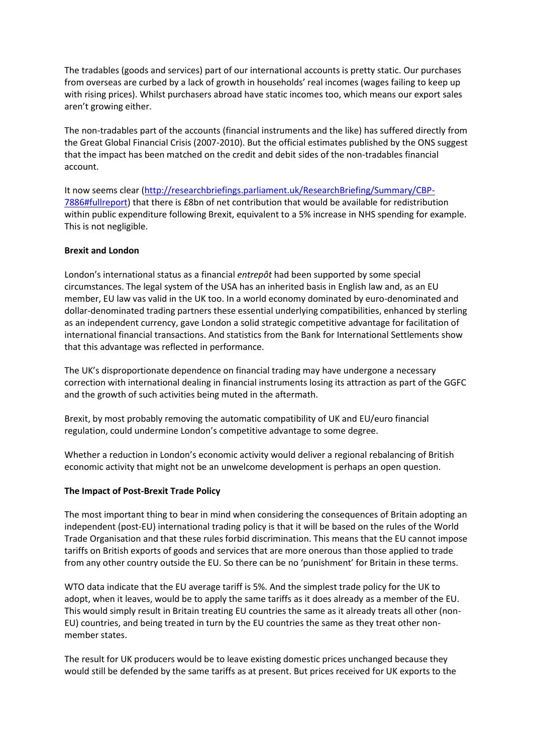The tradables (goods and services) part of our international accounts is pretty static. Our purchases from overseas are curbed by a lack of growth in households' real incomes (wages failing to keep up with rising prices). Whilst purchasers abroad have static incomes too, which means our export sales aren't growing either.

The non-tradables part of the accounts (financial instruments and the like) has suffered directly from the Great Global Financial Crisis (2007-2010). But the official estimates published by the ONS suggest that the impact has been matched on the credit and debit sides of the non-tradables financial account.

It now seems clear [\(http://researchbriefings.parliament.uk/ResearchBriefing/Summary/CBP-](http://researchbriefings.parliament.uk/ResearchBriefing/Summary/CBP-7886#fullreport)[7886#fullreport\)](http://researchbriefings.parliament.uk/ResearchBriefing/Summary/CBP-7886#fullreport) that there is £8bn of net contribution that would be available for redistribution within public expenditure following Brexit, equivalent to a 5% increase in NHS spending for example. This is not negligible.

## **Brexit and London**

London's international status as a financial *entrepôt* had been supported by some special circumstances. The legal system of the USA has an inherited basis in English law and, as an EU member, EU law vas valid in the UK too. In a world economy dominated by euro-denominated and dollar-denominated trading partners these essential underlying compatibilities, enhanced by sterling as an independent currency, gave London a solid strategic competitive advantage for facilitation of international financial transactions. And statistics from the Bank for International Settlements show that this advantage was reflected in performance.

The UK's disproportionate dependence on financial trading may have undergone a necessary correction with international dealing in financial instruments losing its attraction as part of the GGFC and the growth of such activities being muted in the aftermath.

Brexit, by most probably removing the automatic compatibility of UK and EU/euro financial regulation, could undermine London's competitive advantage to some degree.

Whether a reduction in London's economic activity would deliver a regional rebalancing of British economic activity that might not be an unwelcome development is perhaps an open question.

## **The Impact of Post-Brexit Trade Policy**

The most important thing to bear in mind when considering the consequences of Britain adopting an independent (post-EU) international trading policy is that it will be based on the rules of the World Trade Organisation and that these rules forbid discrimination. This means that the EU cannot impose tariffs on British exports of goods and services that are more onerous than those applied to trade from any other country outside the EU. So there can be no 'punishment' for Britain in these terms.

WTO data indicate that the EU average tariff is 5%. And the simplest trade policy for the UK to adopt, when it leaves, would be to apply the same tariffs as it does already as a member of the EU. This would simply result in Britain treating EU countries the same as it already treats all other (non-EU) countries, and being treated in turn by the EU countries the same as they treat other nonmember states.

The result for UK producers would be to leave existing domestic prices unchanged because they would still be defended by the same tariffs as at present. But prices received for UK exports to the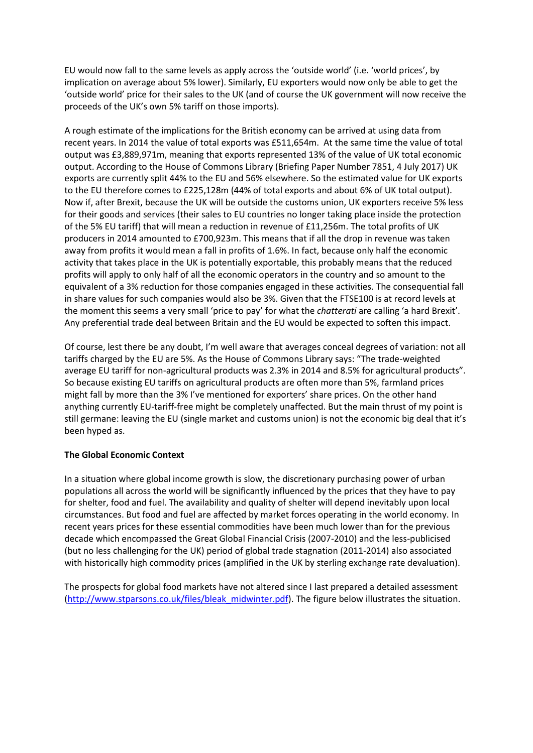EU would now fall to the same levels as apply across the 'outside world' (i.e. 'world prices', by implication on average about 5% lower). Similarly, EU exporters would now only be able to get the 'outside world' price for their sales to the UK (and of course the UK government will now receive the proceeds of the UK's own 5% tariff on those imports).

A rough estimate of the implications for the British economy can be arrived at using data from recent years. In 2014 the value of total exports was £511,654m. At the same time the value of total output was £3,889,971m, meaning that exports represented 13% of the value of UK total economic output. According to the House of Commons Library (Briefing Paper Number 7851, 4 July 2017) UK exports are currently split 44% to the EU and 56% elsewhere. So the estimated value for UK exports to the EU therefore comes to £225,128m (44% of total exports and about 6% of UK total output). Now if, after Brexit, because the UK will be outside the customs union, UK exporters receive 5% less for their goods and services (their sales to EU countries no longer taking place inside the protection of the 5% EU tariff) that will mean a reduction in revenue of £11,256m. The total profits of UK producers in 2014 amounted to £700,923m. This means that if all the drop in revenue was taken away from profits it would mean a fall in profits of 1.6%. In fact, because only half the economic activity that takes place in the UK is potentially exportable, this probably means that the reduced profits will apply to only half of all the economic operators in the country and so amount to the equivalent of a 3% reduction for those companies engaged in these activities. The consequential fall in share values for such companies would also be 3%. Given that the FTSE100 is at record levels at the moment this seems a very small 'price to pay' for what the *chatterati* are calling 'a hard Brexit'. Any preferential trade deal between Britain and the EU would be expected to soften this impact.

Of course, lest there be any doubt, I'm well aware that averages conceal degrees of variation: not all tariffs charged by the EU are 5%. As the House of Commons Library says: "The trade-weighted average EU tariff for non-agricultural products was 2.3% in 2014 and 8.5% for agricultural products". So because existing EU tariffs on agricultural products are often more than 5%, farmland prices might fall by more than the 3% I've mentioned for exporters' share prices. On the other hand anything currently EU-tariff-free might be completely unaffected. But the main thrust of my point is still germane: leaving the EU (single market and customs union) is not the economic big deal that it's been hyped as.

## **The Global Economic Context**

In a situation where global income growth is slow, the discretionary purchasing power of urban populations all across the world will be significantly influenced by the prices that they have to pay for shelter, food and fuel. The availability and quality of shelter will depend inevitably upon local circumstances. But food and fuel are affected by market forces operating in the world economy. In recent years prices for these essential commodities have been much lower than for the previous decade which encompassed the Great Global Financial Crisis (2007-2010) and the less-publicised (but no less challenging for the UK) period of global trade stagnation (2011-2014) also associated with historically high commodity prices (amplified in the UK by sterling exchange rate devaluation).

The prospects for global food markets have not altered since I last prepared a detailed assessment [\(http://www.stparsons.co.uk/files/bleak\\_midwinter.pdf\)](http://www.stparsons.co.uk/files/bleak_midwinter.pdf). The figure below illustrates the situation.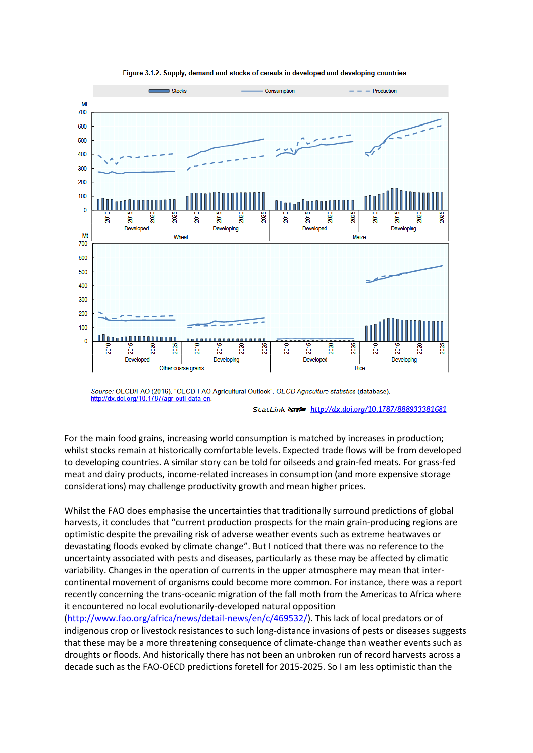

Figure 3.1.2. Supply, demand and stocks of cereals in developed and developing countries

StatLink & http://dx.doi.org/10.1787/888933381681

For the main food grains, increasing world consumption is matched by increases in production; whilst stocks remain at historically comfortable levels. Expected trade flows will be from developed to developing countries. A similar story can be told for oilseeds and grain-fed meats. For grass-fed meat and dairy products, income-related increases in consumption (and more expensive storage considerations) may challenge productivity growth and mean higher prices.

Whilst the FAO does emphasise the uncertainties that traditionally surround predictions of global harvests, it concludes that "current production prospects for the main grain-producing regions are optimistic despite the prevailing risk of adverse weather events such as extreme heatwaves or devastating floods evoked by climate change". But I noticed that there was no reference to the uncertainty associated with pests and diseases, particularly as these may be affected by climatic variability. Changes in the operation of currents in the upper atmosphere may mean that intercontinental movement of organisms could become more common. For instance, there was a report recently concerning the trans-oceanic migration of the fall moth from the Americas to Africa where it encountered no local evolutionarily-developed natural opposition

[\(http://www.fao.org/africa/news/detail-news/en/c/469532/\)](http://www.fao.org/africa/news/detail-news/en/c/469532/). This lack of local predators or of indigenous crop or livestock resistances to such long-distance invasions of pests or diseases suggests that these may be a more threatening consequence of climate-change than weather events such as droughts or floods. And historically there has not been an unbroken run of record harvests across a decade such as the FAO-OECD predictions foretell for 2015-2025. So I am less optimistic than the

Source: OECD/FAO (2016), "OECD-FAO Agricultural Outlook", OECD Agriculture statistics (database), http://dx.doi.org/10.1787/agr-outl-data-en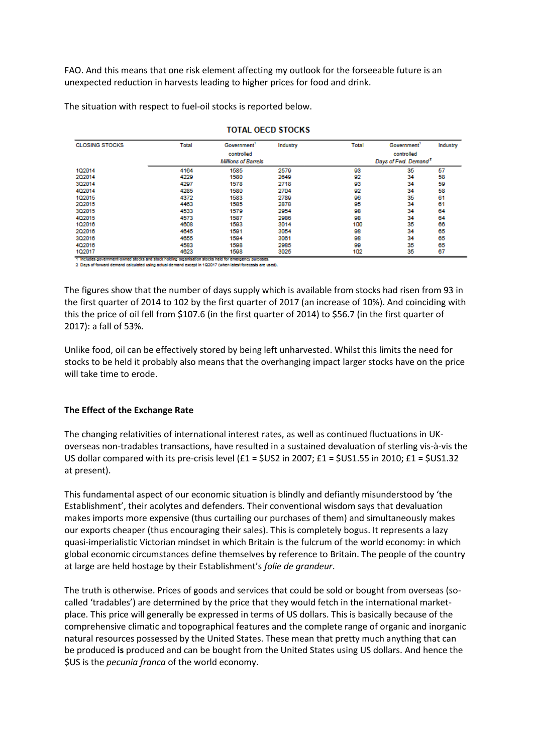FAO. And this means that one risk element affecting my outlook for the forseeable future is an unexpected reduction in harvests leading to higher prices for food and drink.

The situation with respect to fuel-oil stocks is reported below.

| <b>CLOSING STOCKS</b> | Total      | Government <sup>1</sup>    | Industry | Total | <b>Government</b>                | Industry |
|-----------------------|------------|----------------------------|----------|-------|----------------------------------|----------|
|                       | controlled |                            |          |       | controlled                       |          |
|                       |            | <b>Millions of Barrels</b> |          |       | Days of Fwd. Demand <sup>2</sup> |          |
| 102014                | 4164       | 1585                       | 2579     | 93    | 35                               | 57       |
| 202014                | 4229       | 1580                       | 2649     | 92    | 34                               | 58       |
| 3Q2014                | 4297       | 1578                       | 2718     | 93    | 34                               | 59       |
| 4Q2014                | 4285       | 1580                       | 2704     | 92    | 34                               | 58       |
| 1Q2015                | 4372       | 1583                       | 2789     | 96    | 35                               | 61       |
| 202015                | 4463       | 1585                       | 2878     | 95    | 34                               | 61       |
| 3Q2015                | 4533       | 1579                       | 2954     | 98    | 34                               | 64       |
| 4Q2015                | 4573       | 1587                       | 2986     | 98    | 34                               | 64       |
| 1Q2016                | 4608       | 1593                       | 3014     | 100   | 35                               | 66       |
| 2Q2016                | 4645       | 1591                       | 3054     | 98    | 34                               | 65       |
| 3Q2016                | 4655       | 1594                       | 3061     | 98    | 34                               | 65       |
| 4Q2016                | 4583       | 1598                       | 2985     | 99    | 35                               | 65       |
| 1Q2017                | 4623       | 1598                       | 3025     | 102   | 35                               | 67       |

#### **TOTAL OECD STOCKS**

1 Includes government-owned stocks and stock holding organisation stocks held for emergency purposes. 2. Days of forward demand calculated using actual demand except in 1/20017 (when latest forecasts are used).

The figures show that the number of days supply which is available from stocks had risen from 93 in the first quarter of 2014 to 102 by the first quarter of 2017 (an increase of 10%). And coinciding with this the price of oil fell from \$107.6 (in the first quarter of 2014) to \$56.7 (in the first quarter of 2017): a fall of 53%.

Unlike food, oil can be effectively stored by being left unharvested. Whilst this limits the need for stocks to be held it probably also means that the overhanging impact larger stocks have on the price will take time to erode.

# **The Effect of the Exchange Rate**

The changing relativities of international interest rates, as well as continued fluctuations in UKoverseas non-tradables transactions, have resulted in a sustained devaluation of sterling vis-à-vis the US dollar compared with its pre-crisis level  $(f1 = 5US2$  in 2007;  $f1 = 5US1.55$  in 2010;  $f1 = 5US1.32$ at present).

This fundamental aspect of our economic situation is blindly and defiantly misunderstood by 'the Establishment', their acolytes and defenders. Their conventional wisdom says that devaluation makes imports more expensive (thus curtailing our purchases of them) and simultaneously makes our exports cheaper (thus encouraging their sales). This is completely bogus. It represents a lazy quasi-imperialistic Victorian mindset in which Britain is the fulcrum of the world economy: in which global economic circumstances define themselves by reference to Britain. The people of the country at large are held hostage by their Establishment's *folie de grandeur*.

The truth is otherwise. Prices of goods and services that could be sold or bought from overseas (socalled 'tradables') are determined by the price that they would fetch in the international marketplace. This price will generally be expressed in terms of US dollars. This is basically because of the comprehensive climatic and topographical features and the complete range of organic and inorganic natural resources possessed by the United States. These mean that pretty much anything that can be produced **is** produced and can be bought from the United States using US dollars. And hence the \$US is the *pecunia franca* of the world economy.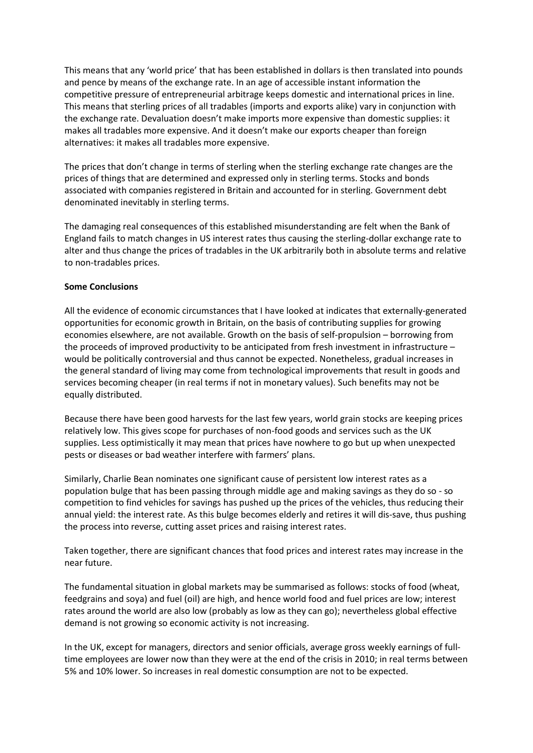This means that any 'world price' that has been established in dollars is then translated into pounds and pence by means of the exchange rate. In an age of accessible instant information the competitive pressure of entrepreneurial arbitrage keeps domestic and international prices in line. This means that sterling prices of all tradables (imports and exports alike) vary in conjunction with the exchange rate. Devaluation doesn't make imports more expensive than domestic supplies: it makes all tradables more expensive. And it doesn't make our exports cheaper than foreign alternatives: it makes all tradables more expensive.

The prices that don't change in terms of sterling when the sterling exchange rate changes are the prices of things that are determined and expressed only in sterling terms. Stocks and bonds associated with companies registered in Britain and accounted for in sterling. Government debt denominated inevitably in sterling terms.

The damaging real consequences of this established misunderstanding are felt when the Bank of England fails to match changes in US interest rates thus causing the sterling-dollar exchange rate to alter and thus change the prices of tradables in the UK arbitrarily both in absolute terms and relative to non-tradables prices.

## **Some Conclusions**

All the evidence of economic circumstances that I have looked at indicates that externally-generated opportunities for economic growth in Britain, on the basis of contributing supplies for growing economies elsewhere, are not available. Growth on the basis of self-propulsion – borrowing from the proceeds of improved productivity to be anticipated from fresh investment in infrastructure – would be politically controversial and thus cannot be expected. Nonetheless, gradual increases in the general standard of living may come from technological improvements that result in goods and services becoming cheaper (in real terms if not in monetary values). Such benefits may not be equally distributed.

Because there have been good harvests for the last few years, world grain stocks are keeping prices relatively low. This gives scope for purchases of non-food goods and services such as the UK supplies. Less optimistically it may mean that prices have nowhere to go but up when unexpected pests or diseases or bad weather interfere with farmers' plans.

Similarly, Charlie Bean nominates one significant cause of persistent low interest rates as a population bulge that has been passing through middle age and making savings as they do so - so competition to find vehicles for savings has pushed up the prices of the vehicles, thus reducing their annual yield: the interest rate. As this bulge becomes elderly and retires it will dis-save, thus pushing the process into reverse, cutting asset prices and raising interest rates.

Taken together, there are significant chances that food prices and interest rates may increase in the near future.

The fundamental situation in global markets may be summarised as follows: stocks of food (wheat, feedgrains and soya) and fuel (oil) are high, and hence world food and fuel prices are low; interest rates around the world are also low (probably as low as they can go); nevertheless global effective demand is not growing so economic activity is not increasing.

In the UK, except for managers, directors and senior officials, average gross weekly earnings of fulltime employees are lower now than they were at the end of the crisis in 2010; in real terms between 5% and 10% lower. So increases in real domestic consumption are not to be expected.